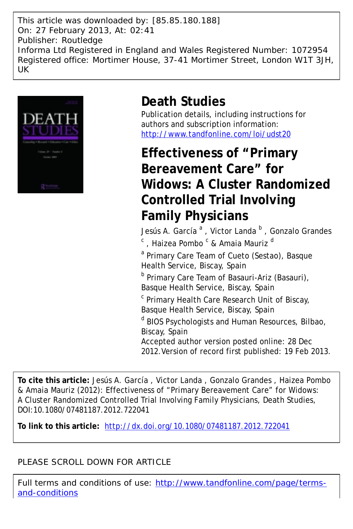This article was downloaded by: [85.85.180.188] On: 27 February 2013, At: 02:41 Publisher: Routledge Informa Ltd Registered in England and Wales Registered Number: 1072954 Registered office: Mortimer House, 37-41 Mortimer Street, London W1T 3JH, UK



# **Death Studies**

Publication details, including instructions for authors and subscription information: <http://www.tandfonline.com/loi/udst20>

**Effectiveness of "Primary Bereavement Care" for Widows: A Cluster Randomized Controlled Trial Involving Family Physicians**

Jesús A. García<sup>a</sup>, Victor Landa <sup>b</sup>, Gonzalo Grandes

<sup>c</sup> , Haizea Pombo <sup>c</sup> & Amaia Mauriz <sup>d</sup>

<sup>a</sup> Primary Care Team of Cueto (Sestao), Basque Health Service, Biscay, Spain

<sup>b</sup> Primary Care Team of Basauri-Ariz (Basauri), Basque Health Service, Biscay, Spain

<sup>c</sup> Primary Health Care Research Unit of Biscay, Basque Health Service, Biscay, Spain

<sup>d</sup> BIOS Psychologists and Human Resources, Bilbao, Biscay, Spain

Accepted author version posted online: 28 Dec 2012.Version of record first published: 19 Feb 2013.

**To cite this article:** Jesús A. García , Victor Landa , Gonzalo Grandes , Haizea Pombo & Amaia Mauriz (2012): Effectiveness of "Primary Bereavement Care" for Widows: A Cluster Randomized Controlled Trial Involving Family Physicians, Death Studies, DOI:10.1080/07481187.2012.722041

**To link to this article:** <http://dx.doi.org/10.1080/07481187.2012.722041>

# PLEASE SCROLL DOWN FOR ARTICLE

Full terms and conditions of use: [http://www.tandfonline.com/page/terms](http://www.tandfonline.com/page/terms-and-conditions)[and-conditions](http://www.tandfonline.com/page/terms-and-conditions)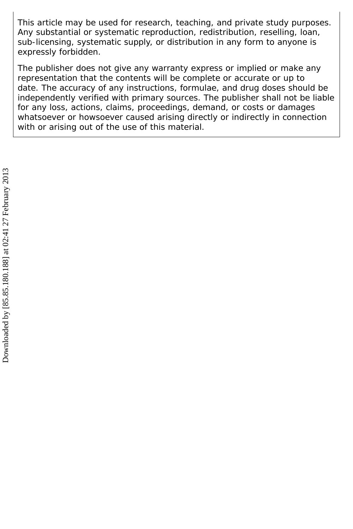This article may be used for research, teaching, and private study purposes. Any substantial or systematic reproduction, redistribution, reselling, loan, sub-licensing, systematic supply, or distribution in any form to anyone is expressly forbidden.

The publisher does not give any warranty express or implied or make any representation that the contents will be complete or accurate or up to date. The accuracy of any instructions, formulae, and drug doses should be independently verified with primary sources. The publisher shall not be liable for any loss, actions, claims, proceedings, demand, or costs or damages whatsoever or howsoever caused arising directly or indirectly in connection with or arising out of the use of this material.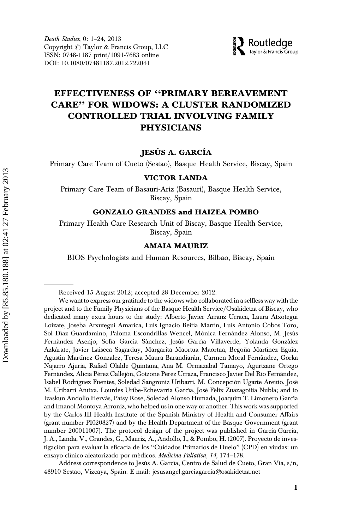

# EFFECTIVENESS OF ''PRIMARY BEREAVEMENT CARE'' FOR WIDOWS: A CLUSTER RANDOMIZED CONTROLLED TRIAL INVOLVING FAMILY PHYSICIANS

### JESÚS A. GARCÍA

Primary Care Team of Cueto (Sestao), Basque Health Service, Biscay, Spain

#### VICTOR LANDA

Primary Care Team of Basauri-Ariz (Basauri), Basque Health Service, Biscay, Spain

#### GONZALO GRANDES and HAIZEA POMBO

Primary Health Care Research Unit of Biscay, Basque Health Service, Biscay, Spain

#### AMAIA MAURIZ

BIOS Psychologists and Human Resources, Bilbao, Biscay, Spain

Address correspondence to Jesús A. García, Centro de Salud de Cueto, Gran Vía, s/n, 48910 Sestao, Vizcaya, Spain. E-mail: jesusangel.garciagarcia@osakidetza.net

Received 15 August 2012; accepted 28 December 2012.

We want to express our gratitude to the widows who collaborated in a selfless way with the project and to the Family Physicians of the Basque Health Service/Osakidetza of Biscay, who dedicated many extra hours to the study: Alberto Javier Arranz Urraca, Laura Atxotegui Loizate, Joseba Atxutegui Amarica, Luis Ignacio Beitia Martín, Luis Antonio Cobos Toro, Sol Díaz Guardamino, Paloma Escondrillas Wencel, Mónica Fernández Alonso, M. Jesús Fernández Asenjo, Sofía García Sánchez, Jesús García Villaverde, Yolanda González Azkárate, Javier Laiseca Sagarduy, Margarita Maortua Maortua, Begoña Martínez Eguía, Agustín Martínez Gonzalez, Teresa Maura Barandiarán, Carmen Moral Fernández, Gorka Najarro Ajuria, Rafael Olalde Quintana, Ana M. Ormazabal Tamayo, Agurtzane Ortego Fernández, Alicia Pérez Callejón, Gotzone Pérez Urraza, Francisco Javier Del Río Fernández, Isabel Rodríguez Fuentes, Soledad Sangroniz Uribarri, M. Concepción Ugarte Areitio, José M. Uribarri Atutxa, Lourdes Uribe-Echevarria García, José Félix Zuazagoitia Nubla; and to Izaskun Andollo Hervás, Patsy Rose, Soledad Alonso Humada, Joaquim T. Limonero García and Imanol Montoya Arroniz, who helped us in one way or another. This work was supported by the Carlos III Health Institute of the Spanish Ministry of Health and Consumer Affairs (grant number PI020827) and by the Health Department of the Basque Government (grant number 200011007). The protocol design of the project was published in García-García, J. A., Landa, V., Grandes, G., Mauriz, A., Andollo, I., & Pombo, H. (2007). Proyecto de investigación para evaluar la eficacia de los "Cuidados Primarios de Duelo" (CPD) en viudas: un ensayo clínico aleatorizado por médicos. Medicina Paliativa, 14, 174-178.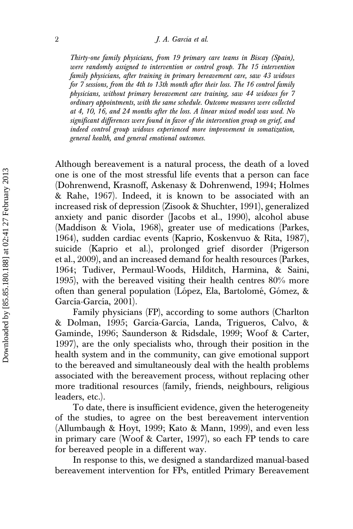Thirty-one family physicians, from 19 primary care teams in Biscay (Spain), were randomly assigned to intervention or control group. The 15 intervention family physicians, after training in primary bereavement care, saw 43 widows for 7 sessions, from the 4th to 13th month after their loss. The 16 control family physicians, without primary bereavement care training, saw 44 widows for 7 ordinary appointments, with the same schedule. Outcome measures were collected at 4, 10, 16, and 24 months after the loss. A linear mixed model was used. No significant differences were found in favor of the intervention group on grief, and indeed control group widows experienced more improvement in somatization, general health, and general emotional outcomes.

Although bereavement is a natural process, the death of a loved one is one of the most stressful life events that a person can face (Dohrenwend, Krasnoff, Askenasy & Dohrenwend, 1994; Holmes & Rahe, 1967). Indeed, it is known to be associated with an increased risk of depression (Zisook & Shuchter, 1991), generalized anxiety and panic disorder (Jacobs et al., 1990), alcohol abuse (Maddison & Viola, 1968), greater use of medications (Parkes, 1964), sudden cardiac events (Kaprio, Koskenvuo & Rita, 1987), suicide (Kaprio et al.), prolonged grief disorder (Prigerson et al., 2009), and an increased demand for health resources (Parkes, 1964; Tudiver, Permaul-Woods, Hilditch, Harmina, & Saini, 1995), with the bereaved visiting their health centres 80% more often than general population (López, Ela, Bartolomé, Gómez, & García-García, 2001).

Family physicians (FP), according to some authors (Charlton & Dolman, 1995; García-García, Landa, Trigueros, Calvo, & Gaminde, 1996; Saunderson & Ridsdale, 1999; Woof & Carter, 1997), are the only specialists who, through their position in the health system and in the community, can give emotional support to the bereaved and simultaneously deal with the health problems associated with the bereavement process, without replacing other more traditional resources (family, friends, neighbours, religious leaders, etc.).

To date, there is insufficient evidence, given the heterogeneity of the studies, to agree on the best bereavement intervention (Allumbaugh & Hoyt, 1999; Kato & Mann, 1999), and even less in primary care (Woof & Carter, 1997), so each FP tends to care for bereaved people in a different way.

In response to this, we designed a standardized manual-based bereavement intervention for FPs, entitled Primary Bereavement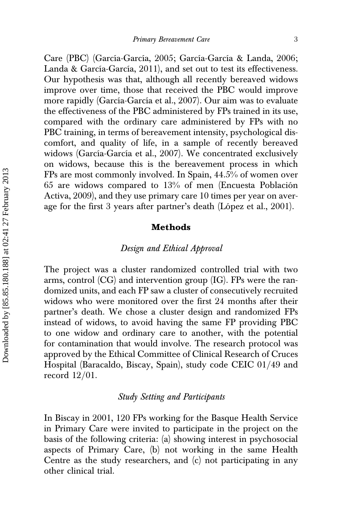Care (PBC) (García-García, 2005; García-García & Landa, 2006; Landa & García-García, 2011), and set out to test its effectiveness. Our hypothesis was that, although all recently bereaved widows improve over time, those that received the PBC would improve more rapidly (García-García et al., 2007). Our aim was to evaluate the effectiveness of the PBC administered by FPs trained in its use, compared with the ordinary care administered by FPs with no PBC training, in terms of bereavement intensity, psychological discomfort, and quality of life, in a sample of recently bereaved widows (García-García et al., 2007). We concentrated exclusively on widows, because this is the bereavement process in which FPs are most commonly involved. In Spain, 44.5% of women over  $65$  are widows compared to  $13%$  of men (Encuesta Población Activa, 2009), and they use primary care 10 times per year on average for the first 3 years after partner's death (López et al.,  $2001$ ).

#### Methods

## Design and Ethical Approval

The project was a cluster randomized controlled trial with two arms, control (CG) and intervention group (IG). FPs were the randomized units, and each FP saw a cluster of consecutively recruited widows who were monitored over the first 24 months after their partner's death. We chose a cluster design and randomized FPs instead of widows, to avoid having the same FP providing PBC to one widow and ordinary care to another, with the potential for contamination that would involve. The research protocol was approved by the Ethical Committee of Clinical Research of Cruces Hospital (Baracaldo, Biscay, Spain), study code CEIC 01/49 and record  $12/01$ .

#### Study Setting and Participants

In Biscay in 2001, 120 FPs working for the Basque Health Service in Primary Care were invited to participate in the project on the basis of the following criteria: (a) showing interest in psychosocial aspects of Primary Care, (b) not working in the same Health Centre as the study researchers, and (c) not participating in any other clinical trial.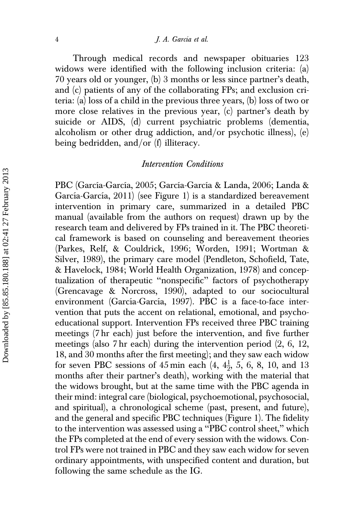#### 4 J. A. García et al.

Through medical records and newspaper obituaries 123 widows were identified with the following inclusion criteria: (a) 70 years old or younger, (b) 3 months or less since partner's death, and (c) patients of any of the collaborating FPs; and exclusion criteria: (a) loss of a child in the previous three years, (b) loss of two or more close relatives in the previous year, (c) partner's death by suicide or AIDS, (d) current psychiatric problems (dementia, alcoholism or other drug addiction, and/or psychotic illness),  $(e)$ being bedridden, and/or (f) illiteracy.

## Intervention Conditions

PBC (García-García, 2005; García-García & Landa, 2006; Landa & García-García, 2011) (see Figure 1) is a standardized bereavement intervention in primary care, summarized in a detailed PBC manual (available from the authors on request) drawn up by the research team and delivered by FPs trained in it. The PBC theoretical framework is based on counseling and bereavement theories (Parkes, Relf, & Couldrick, 1996; Worden, 1991; Wortman & Silver, 1989), the primary care model (Pendleton, Schofield, Tate, & Havelock, 1984; World Health Organization, 1978) and conceptualization of therapeutic ''nonspecific'' factors of psychotherapy (Grencavage & Norcross, 1990), adapted to our sociocultural environment (García-García, 1997). PBC is a face-to-face intervention that puts the accent on relational, emotional, and psychoeducational support. Intervention FPs received three PBC training meetings (7 hr each) just before the intervention, and five further meetings (also 7 hr each) during the intervention period (2, 6, 12, 18, and 30 months after the first meeting); and they saw each widow for seven PBC sessions of  $45 \text{ min}$  each  $(4, 4\frac{1}{2}, 5, 6, 8, 10, \text{ and } 13)$ months after their partner's death), working with the material that the widows brought, but at the same time with the PBC agenda in their mind: integral care (biological, psychoemotional, psychosocial, and spiritual), a chronological scheme (past, present, and future), and the general and specific PBC techniques (Figure 1). The fidelity to the intervention was assessed using a ''PBC control sheet,'' which the FPs completed at the end of every session with the widows. Control FPs were not trained in PBC and they saw each widow for seven ordinary appointments, with unspecified content and duration, but following the same schedule as the IG.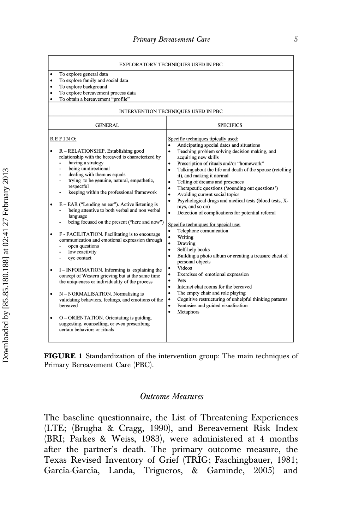|                                                                                                                                                                                                                                                                                                                                                                                                                                                                                                                                                                                                                                                                                                                                                                                                                                                                                                                                                                                                                                                                                            | EXPLORATORY TECHNIQUES USED IN PBC                                                                                                                                                                                                                                                                                                                                                                                                                                                                                                                                                                                                                                                                                                                                                                                                                                                                                                                                                                                                                                                                                                                                                                                                        |
|--------------------------------------------------------------------------------------------------------------------------------------------------------------------------------------------------------------------------------------------------------------------------------------------------------------------------------------------------------------------------------------------------------------------------------------------------------------------------------------------------------------------------------------------------------------------------------------------------------------------------------------------------------------------------------------------------------------------------------------------------------------------------------------------------------------------------------------------------------------------------------------------------------------------------------------------------------------------------------------------------------------------------------------------------------------------------------------------|-------------------------------------------------------------------------------------------------------------------------------------------------------------------------------------------------------------------------------------------------------------------------------------------------------------------------------------------------------------------------------------------------------------------------------------------------------------------------------------------------------------------------------------------------------------------------------------------------------------------------------------------------------------------------------------------------------------------------------------------------------------------------------------------------------------------------------------------------------------------------------------------------------------------------------------------------------------------------------------------------------------------------------------------------------------------------------------------------------------------------------------------------------------------------------------------------------------------------------------------|
| To explore general data<br>٠<br>To explore family and social data<br>٠<br>To explore background<br>٠<br>To explore bereavement process data<br>٠<br>To obtain a bereavement "profile"<br>٠                                                                                                                                                                                                                                                                                                                                                                                                                                                                                                                                                                                                                                                                                                                                                                                                                                                                                                 |                                                                                                                                                                                                                                                                                                                                                                                                                                                                                                                                                                                                                                                                                                                                                                                                                                                                                                                                                                                                                                                                                                                                                                                                                                           |
|                                                                                                                                                                                                                                                                                                                                                                                                                                                                                                                                                                                                                                                                                                                                                                                                                                                                                                                                                                                                                                                                                            | INTERVENTION TECHNIQUES USED IN PBC                                                                                                                                                                                                                                                                                                                                                                                                                                                                                                                                                                                                                                                                                                                                                                                                                                                                                                                                                                                                                                                                                                                                                                                                       |
| <b>GENERAL</b>                                                                                                                                                                                                                                                                                                                                                                                                                                                                                                                                                                                                                                                                                                                                                                                                                                                                                                                                                                                                                                                                             | <b>SPECIFICS</b>                                                                                                                                                                                                                                                                                                                                                                                                                                                                                                                                                                                                                                                                                                                                                                                                                                                                                                                                                                                                                                                                                                                                                                                                                          |
| REFINO:<br>R – RELATIONSHIP. Establishing good<br>relationship with the bereaved is characterized by<br>having a strategy<br>$\overline{a}$<br>being unidirectional<br>ä,<br>dealing with them as equals<br>trying to be genuine, natural, empathetic,<br>÷.<br>respectful<br>keeping within the professional framework<br>$E - EAR$ ("Lending an ear"). Active listening is<br>being attentive to both verbal and non verbal<br>language<br>being focused on the present ("here and now")<br>F - FACILITATION. Facilitating is to encourage<br>communication and emotional expression through<br>open questions<br>low reactivity<br>ä,<br>eye contact<br>$\overline{a}$<br>I – INFORMATION. Informing is explaining the<br>$\bullet$<br>concept of Western grieving but at the same time<br>the uniqueness or individuality of the process<br>N - NORMALISATION. Normalising is<br>٠<br>validating behaviors, feelings, and emotions of the<br>bereaved<br>O - ORIENTATION. Orientating is guiding,<br>٠<br>suggesting, counselling, or even prescribing<br>certain behaviors or rituals | Specific techniques tipically used:<br>Anticipating special dates and situations<br>Teaching problem solving decision making, and<br>$\bullet$<br>acquiring new skills<br>Prescription of rituals and/or "homework"<br>$\bullet$<br>Talking about the life and death of the spouse (retelling<br>$\bullet$<br>it), and making it normal<br>Telling of dreams and presences<br>$\bullet$<br>Therapeutic questions ('sounding out questions')<br>٠<br>Avoiding current social topics<br>$\bullet$<br>Psychological drugs and medical tests (blood tests, X-<br>$\bullet$<br>rays, and so on)<br>Detection of complications for potential referral<br>$\bullet$<br>Specific techniques for special use:<br>Telephone comunication<br>٠<br>Writing<br>$\bullet$<br>Drawing<br>$\bullet$<br>Self-help books<br>٠<br>Building a photo album or creating a treasure chest of<br>$\bullet$<br>personal objects<br>Videos<br>Exercises of emotional expression<br>$\bullet$<br>Pets<br>$\bullet$<br>Internet chat rooms for the bereaved<br>$\bullet$<br>The empty chair and role playing<br>$\bullet$<br>Cognitive restructuring of unhelpful thinking patterns<br>٠<br>Fantasies and guided visualisation<br>$\bullet$<br>Metaphors<br>$\bullet$ |

FIGURE 1 Standardization of the intervention group: The main techniques of Primary Bereavement Care (PBC).

# Outcome Measures

The baseline questionnaire, the List of Threatening Experiences (LTE; (Brugha & Cragg, 1990), and Bereavement Risk Index (BRI; Parkes & Weiss, 1983), were administered at 4 months after the partner's death. The primary outcome measure, the Texas Revised Inventory of Grief (TRIG; Faschingbauer, 1981; García-García, Landa, Trigueros, & Gaminde, 2005) and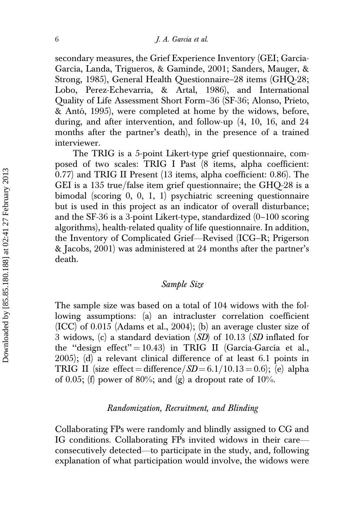secondary measures, the Grief Experience Inventory (GEI; García-García, Landa, Trigueros, & Gaminde, 2001; Sanders, Mauger, & Strong, 1985), General Health Questionnaire–28 items (GHQ-28; Lobo, Perez-Echevarria, & Artal, 1986), and International Quality of Life Assessment Short Form–36 (SF-36; Alonso, Prieto, & Antó, 1995), were completed at home by the widows, before, during, and after intervention, and follow-up (4, 10, 16, and 24 months after the partner's death), in the presence of a trained interviewer.

The TRIG is a 5-point Likert-type grief questionnaire, composed of two scales: TRIG I Past (8 items, alpha coefficient: 0.77) and TRIG II Present (13 items, alpha coefficient: 0.86). The GEI is a 135 true/false item grief questionnaire; the  $GHQ-28$  is a bimodal (scoring 0, 0, 1, 1) psychiatric screening questionnaire but is used in this project as an indicator of overall disturbance; and the SF-36 is a 3-point Likert-type, standardized (0–100 scoring algorithms), health-related quality of life questionnaire. In addition, the Inventory of Complicated Grief—Revised (ICG–R; Prigerson & Jacobs, 2001) was administered at 24 months after the partner's death.

#### Sample Size

The sample size was based on a total of 104 widows with the following assumptions: (a) an intracluster correlation coefficient (ICC) of 0.015 (Adams et al., 2004); (b) an average cluster size of 3 widows, (c) a standard deviation (SD) of 10.13 (SD inflated for the "design effect" = 10.43) in TRIG II (García-García et al., 2005); (d) a relevant clinical difference of at least 6.1 points in TRIG II (size effect = difference/ $SD = 6.1/10.13 = 0.6$ ); (e) alpha of 0.05; (f) power of 80%; and  $(g)$  a dropout rate of 10%.

#### Randomization, Recruitment, and Blinding

Collaborating FPs were randomly and blindly assigned to CG and IG conditions. Collaborating FPs invited widows in their care consecutively detected—to participate in the study, and, following explanation of what participation would involve, the widows were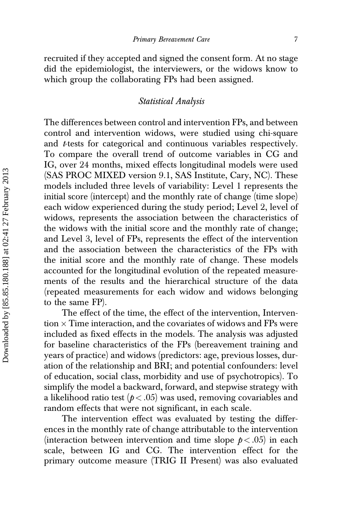recruited if they accepted and signed the consent form. At no stage did the epidemiologist, the interviewers, or the widows know to which group the collaborating FPs had been assigned.

# Statistical Analysis

The differences between control and intervention FPs, and between control and intervention widows, were studied using chi-square and *t*-tests for categorical and continuous variables respectively. To compare the overall trend of outcome variables in CG and IG, over 24 months, mixed effects longitudinal models were used (SAS PROC MIXED version 9.1, SAS Institute, Cary, NC). These models included three levels of variability: Level 1 represents the initial score (intercept) and the monthly rate of change (time slope) each widow experienced during the study period; Level 2, level of widows, represents the association between the characteristics of the widows with the initial score and the monthly rate of change; and Level 3, level of FPs, represents the effect of the intervention and the association between the characteristics of the FPs with the initial score and the monthly rate of change. These models accounted for the longitudinal evolution of the repeated measurements of the results and the hierarchical structure of the data (repeated measurements for each widow and widows belonging to the same FP).

The effect of the time, the effect of the intervention, Intervention  $\times$  Time interaction, and the covariates of widows and FPs were included as fixed effects in the models. The analysis was adjusted for baseline characteristics of the FPs (bereavement training and years of practice) and widows (predictors: age, previous losses, duration of the relationship and BRI; and potential confounders: level of education, social class, morbidity and use of psychotropics). To simplify the model a backward, forward, and stepwise strategy with a likelihood ratio test ( $p < .05$ ) was used, removing covariables and random effects that were not significant, in each scale.

The intervention effect was evaluated by testing the differences in the monthly rate of change attributable to the intervention (interaction between intervention and time slope  $p < .05$ ) in each scale, between IG and CG. The intervention effect for the primary outcome measure (TRIG II Present) was also evaluated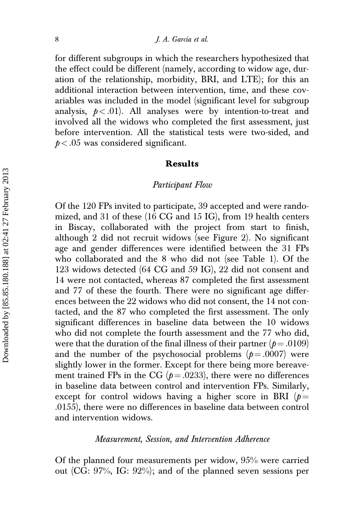for different subgroups in which the researchers hypothesized that the effect could be different (namely, according to widow age, duration of the relationship, morbidity, BRI, and LTE); for this an additional interaction between intervention, time, and these covariables was included in the model (significant level for subgroup analysis,  $p < .01$ ). All analyses were by intention-to-treat and involved all the widows who completed the first assessment, just before intervention. All the statistical tests were two-sided, and  $p < .05$  was considered significant.

#### Results

#### Participant Flow

Of the 120 FPs invited to participate, 39 accepted and were randomized, and 31 of these (16 CG and 15 IG), from 19 health centers in Biscay, collaborated with the project from start to finish, although 2 did not recruit widows (see Figure 2). No significant age and gender differences were identified between the 31 FPs who collaborated and the 8 who did not (see Table 1). Of the 123 widows detected (64 CG and 59 IG), 22 did not consent and 14 were not contacted, whereas 87 completed the first assessment and 77 of these the fourth. There were no significant age differences between the 22 widows who did not consent, the 14 not contacted, and the 87 who completed the first assessment. The only significant differences in baseline data between the 10 widows who did not complete the fourth assessment and the 77 who did, were that the duration of the final illness of their partner ( $p = .0109$ ) and the number of the psychosocial problems  $(p=.0007)$  were slightly lower in the former. Except for there being more bereavement trained FPs in the CG ( $p = .0233$ ), there were no differences in baseline data between control and intervention FPs. Similarly, except for control widows having a higher score in BRI ( $p =$ .0155), there were no differences in baseline data between control and intervention widows.

#### Measurement, Session, and Intervention Adherence

Of the planned four measurements per widow, 95% were carried out (CG: 97%, IG: 92%); and of the planned seven sessions per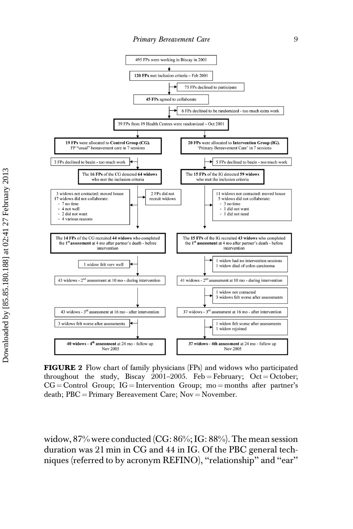

FIGURE 2 Flow chart of family physicians (FPs) and widows who participated throughout the study, Biscay 2001–2005. Feb = February; Oct = October;  $CG = Control$  Group; IG = Intervention Group; mo = months after partner's death;  $PBC = Primary$  Bereavement Care; Nov = November.

widow, 87% were conducted (CG: 86%; IG: 88%). The mean session duration was 21 min in CG and 44 in IG. Of the PBC general techniques (referred to by acronym REFINO), ''relationship'' and ''ear''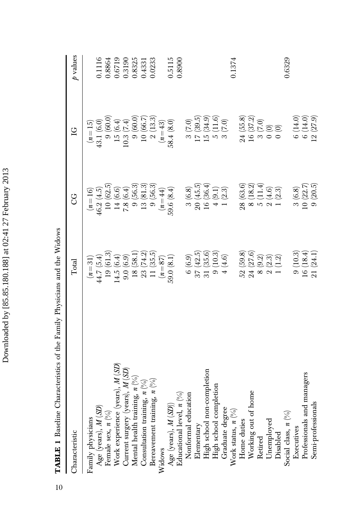| Ç<br>į<br>٦           |
|-----------------------|
| ーー<br>ı               |
|                       |
| I<br>١<br>I<br>֠<br>ţ |
| $\tilde{\zeta}$       |
| ļ<br>I                |
| ׇ֚                    |
|                       |
| ľ                     |

TABLE 1 Baseline Characteristics of the Family Physicians and the Widows TABLE 1 Baseline Characteristics of the Family Physicians and the Widows

| Characteristic                            | Total                                                                              | 9<br>O                                                                                      | $\overline{C}$                                                                         | $\rho$ values                                             |
|-------------------------------------------|------------------------------------------------------------------------------------|---------------------------------------------------------------------------------------------|----------------------------------------------------------------------------------------|-----------------------------------------------------------|
| Family physicians                         | $(n=31)$                                                                           | $(n = 16)$                                                                                  | $(n=15)$                                                                               |                                                           |
| Age (years), $M$ (SD)                     |                                                                                    |                                                                                             | 43.1 (6.0)                                                                             | 0.1116                                                    |
| Female sex, $n$ (%)                       | $\begin{array}{c} 44.7\ (5.4) \\ 19\ (61.3) \end{array}$                           | $\begin{array}{c} 46.2 \ (4.5) \\ 10 \ (62.5) \end{array}$                                  | $9(60.0)$                                                                              | 0.8864                                                    |
| Work experience (years), $M(SD)$          | 14.5 (6.4)<br>9.0 (6.9)<br>18 (58.1)<br>23 (74.2)                                  | $14(6.6)$<br>$7.8(6.4)$<br>$9(56.3)$<br>$13(81.3)$                                          | $\begin{array}{c} 15 \ (6.4) \\ 10.3 \ (7.4) \\ 9 \ (60.0) \\ 10 \ (66.7) \end{array}$ | 0.6719                                                    |
| Current surgery (years), $M(SD)$          |                                                                                    |                                                                                             |                                                                                        |                                                           |
| Mental health training, $n$ (%)           |                                                                                    |                                                                                             |                                                                                        |                                                           |
| Consultation training, $n\binom{0}{0}$    |                                                                                    |                                                                                             |                                                                                        | $\begin{array}{c} 0.3190 \\ 0.8325 \\ 0.4331 \end{array}$ |
| Bereavement training, $n$ (%)             | 11(35.5)                                                                           | 9(56.3)                                                                                     | 2(13.3)                                                                                | 0.0233                                                    |
| Widows                                    | $(n=87)$                                                                           | $(n = 44)$                                                                                  | $(n = 43)$                                                                             |                                                           |
| Age (years), $M(SD)$ )                    | 59.0 (8.1)                                                                         | 59.6(8.4)                                                                                   | 58.4(8.0)                                                                              | 0.5115                                                    |
| Educational level, $n$ $(%$ )             |                                                                                    |                                                                                             |                                                                                        | 0.8900                                                    |
| Nonformal education                       | 6(6.9)                                                                             |                                                                                             | 3(7.0)                                                                                 |                                                           |
| Elementary                                |                                                                                    | $\begin{array}{c} 3\ (6.8) \\ 20\ (45.5) \end{array}$                                       |                                                                                        |                                                           |
| High school non-completion                |                                                                                    |                                                                                             |                                                                                        |                                                           |
| High school completion                    | $\begin{array}{c} 37 \ (42.5) \\ 31 \ (35.6) \\ 9 \ (10.3) \end{array}$            | $\begin{array}{c} 16\ (36.4) \\ 4\ (9.1) \\ 1\ (2.3) \end{array}$                           | $\begin{array}{c} 17 \ (39.5) \\ 15 \ (34.9) \\ 5 \ (11.6) \\ 3 \ (7.0) \end{array}$   |                                                           |
| Graduate degree                           | $4(4.6)$                                                                           |                                                                                             |                                                                                        |                                                           |
| Work status, $n\binom{9}{0}$              |                                                                                    |                                                                                             |                                                                                        | 0.1374                                                    |
| Home duties                               |                                                                                    |                                                                                             | 24 (55.8)                                                                              |                                                           |
| Working out of home                       |                                                                                    |                                                                                             | 16(37.2)                                                                               |                                                           |
| Retired                                   |                                                                                    |                                                                                             |                                                                                        |                                                           |
| Unemployed                                | $\begin{array}{c} 52~(59.8)\\ 24~(27.6)\\ 8~(9.2)\\ 2~(2.3)\\ 1~(1.2) \end{array}$ | $\begin{array}{c} 28\ (63.6) \\ 8\ (18.2) \\ 5\ (11.4) \\ 2\ (4.6) \\ 1\ (2.3) \end{array}$ | $\begin{array}{c} 3(7.0) \\ 0(0) \\ 0(0) \end{array}$                                  |                                                           |
| Disabled                                  |                                                                                    |                                                                                             |                                                                                        |                                                           |
| Social class, $n\left(\frac{9}{6}\right)$ |                                                                                    |                                                                                             |                                                                                        | 0.6329                                                    |
| Executives                                | 9(10.3)                                                                            | 3(6.8)                                                                                      | 6(14.0)                                                                                |                                                           |
| Professionals and managers                | 16(18.4)                                                                           | 10(22.7)                                                                                    | 6(14.0)                                                                                |                                                           |
| Semi-professionals                        | 21 (24.1)                                                                          | 9(20.5)                                                                                     | (27.9)                                                                                 |                                                           |

10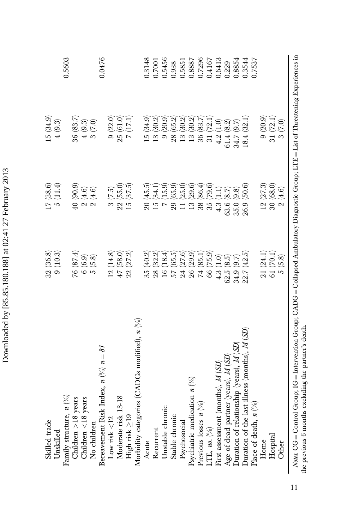| Skilled trade                                                                                                                                    | 32(36.8)                 | (7(38.6))                                       | 15(34.9)                                              |        |
|--------------------------------------------------------------------------------------------------------------------------------------------------|--------------------------|-------------------------------------------------|-------------------------------------------------------|--------|
| Unskilled                                                                                                                                        | 9(10.3)                  | 5(11.4)                                         | $4(9.3)$                                              |        |
| Family structure, $n$ (%)                                                                                                                        |                          |                                                 |                                                       | 0.5603 |
| Children >18 years                                                                                                                               | 76(87.4)                 | $(6.06)$ 0#                                     | 36 (83.7)                                             |        |
| Children <18 years                                                                                                                               | 6(6.9)                   |                                                 |                                                       |        |
| No children                                                                                                                                      | $5\ (5.8)$               | $\begin{array}{c} 2(4.6) \\ 2(4.6) \end{array}$ | $\begin{array}{c} 4 \ (9.3) \\ 3 \ (7.0) \end{array}$ |        |
| Bereavement Risk Index, $n \binom{0}{0}$ , $n = 87$                                                                                              |                          |                                                 |                                                       | 0.0476 |
| Low risk $<\!12$                                                                                                                                 | 12(14.8)                 | 3(7.5)                                          | 9(22.0)                                               |        |
| Moderate risk 13-18                                                                                                                              | 47(58.0)                 | 22(55.0)                                        | 25(61.0)                                              |        |
| High risk ≥19                                                                                                                                    | 22(27.2)                 | 15(37.5)                                        | 7(17.1)                                               |        |
| Morbidity categories (CADGs modified), $n$ (%)                                                                                                   |                          |                                                 |                                                       |        |
| Acute                                                                                                                                            | 35 (40.2)                | 20(45.5)                                        | 15(34.9)                                              | 0.3148 |
| Recurrent                                                                                                                                        | 28 (32.2)                | 15(34.1)                                        | 13(30.2)                                              | 0.7001 |
| Unstable chronic                                                                                                                                 | 16(18.4)                 | 7(15.9)                                         | 9(20.9)                                               | 0.5456 |
| Stable chronic                                                                                                                                   | $57(65.5)$<br>$24(27.6)$ | 29(65.9)                                        | 28(65.2)                                              | 0.938  |
| Psychosocial                                                                                                                                     |                          | 11 (25.0)                                       | 13(30.2)                                              | 0.5851 |
| Psychiatric medication $n$ (%)                                                                                                                   | 26 (29.9)                | 13(29.6)                                        | 13(30.2)                                              | 0.8887 |
| Previous losses $n\binom{9}{0}$                                                                                                                  | 74 (85.1)                | 38 (86.4)                                       | 36(83.7)                                              | 0.7296 |
| LTE, no. $(\%)$                                                                                                                                  | 66 (75.9)                | 35 (79.6)                                       | 31(72.1)                                              | 0.4167 |
| First assessment (months), M (SD)                                                                                                                | 4.3(1.0)                 | 4.3(1.1)                                        | $4.2\ (1.0)$                                          | 0.6413 |
| Age of dead partner (years), M (SD)                                                                                                              | 62.5(8.5)                | 63.6(8.7)                                       | 51.4(8.2)                                             | 0.229  |
| Duration of relationship (years), M (SD)                                                                                                         | 34.9 (9.7)               | 35.0(9.8)                                       | 34.7 (9.7)                                            | 0.8854 |
| Duration of the last illness (months), $M(SD)$                                                                                                   | 22.7(42.5)               | 26.9(50.6)                                      | 18.4(32.1)                                            | 0.3544 |
| Place of death, $n$ $\binom{9}{0}$                                                                                                               |                          |                                                 |                                                       | 0.7537 |
| Home                                                                                                                                             | 21 (24.1)                | 12(27.3)                                        | $9\ (20.9)$                                           |        |
| Hospital                                                                                                                                         | 61(70.1)                 | 30 (68.0)                                       | 31(72.1)                                              |        |
| Other                                                                                                                                            | 5(5.8)                   | $2\ (4.6)$                                      | 3(7.0)                                                |        |
| $N_{0/65}$ , CG = Control Group: IG = Intervention Group: CADG = Collapsed Ambulatory Diagnostic Group: LTE = List of Threatening Experiences in |                          |                                                 |                                                       |        |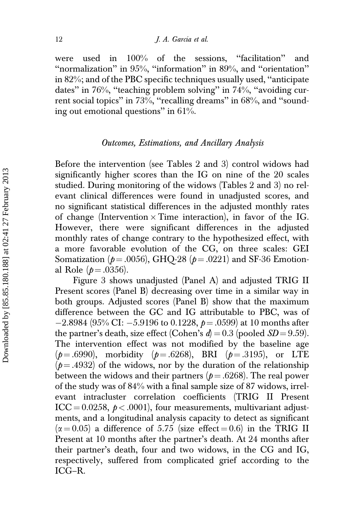were used in 100% of the sessions, "facilitation" and ''normalization'' in 95%, ''information'' in 89%, and ''orientation'' in 82%; and of the PBC specific techniques usually used, ''anticipate dates'' in 76%, ''teaching problem solving'' in 74%, ''avoiding current social topics" in 73%, "recalling dreams" in 68%, and "sounding out emotional questions'' in 61%.

#### Outcomes, Estimations, and Ancillary Analysis

Before the intervention (see Tables 2 and 3) control widows had significantly higher scores than the IG on nine of the 20 scales studied. During monitoring of the widows (Tables 2 and 3) no relevant clinical differences were found in unadjusted scores, and no significant statistical differences in the adjusted monthly rates of change (Intervention  $\times$  Time interaction), in favor of the IG. However, there were significant differences in the adjusted monthly rates of change contrary to the hypothesized effect, with a more favorable evolution of the CG, on three scales: GEI Somatization ( $p = .0056$ ), GHQ-28 ( $p = .0221$ ) and SF-36 Emotional Role ( $p = .0356$ ).

Figure 3 shows unadjusted (Panel A) and adjusted TRIG II Present scores (Panel B) decreasing over time in a similar way in both groups. Adjusted scores (Panel B) show that the maximum difference between the GC and IG attributable to PBC, was of  $-2.8984$  (95% CI:  $-5.9196$  to 0.1228,  $p = .0599$ ) at 10 months after the partner's death, size effect (Cohen's  $d = 0.3$  (pooled  $SD = 9.59$ ). The intervention effect was not modified by the baseline age  $(p=.6990)$ , morbidity  $(p=.6268)$ , BRI  $(p=.3195)$ , or LTE  $(p = .4932)$  of the widows, nor by the duration of the relationship between the widows and their partners ( $p = .6268$ ). The real power of the study was of 84% with a final sample size of 87 widows, irrelevant intracluster correlation coefficients (TRIG II Present ICC = 0.0258,  $p < .0001$ ), four measurements, multivariant adjustments, and a longitudinal analysis capacity to detect as significant  $(\alpha = 0.05)$  a difference of 5.75 (size effect  $(0.6)$  in the TRIG II Present at 10 months after the partner's death. At 24 months after their partner's death, four and two widows, in the CG and IG, respectively, suffered from complicated grief according to the ICG–R.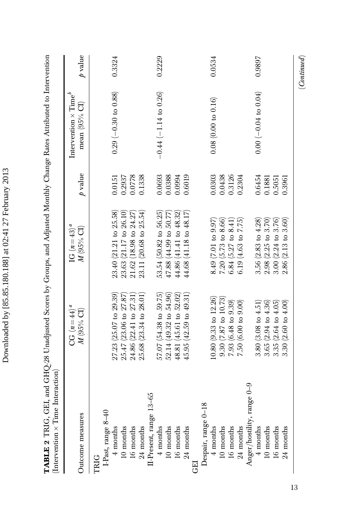| TABLE 2 TRIG, GEI, and GHQ-28 Unadjusted Scores by Groups, and Adjusted Monthly Change Rates Attributed to Intervention<br>$(Intervention \times Time$ Interaction) |                                 |                                          |              |                                                           |              |
|---------------------------------------------------------------------------------------------------------------------------------------------------------------------|---------------------------------|------------------------------------------|--------------|-----------------------------------------------------------|--------------|
| Outcome measures                                                                                                                                                    | $CG (n=44)^{d}$<br>$M$ (95% CI) | IG $(n=43)^{a}$<br>$M(95\%~\mathrm{Cl})$ | $\rho$ value | Intervention $\times$ Time <sup>b</sup><br>mean $(95%$ CI | $\rho$ value |
| TRIG                                                                                                                                                                |                                 |                                          |              |                                                           |              |
| I-Past, range 8-40                                                                                                                                                  |                                 |                                          |              |                                                           |              |
| $4$ months                                                                                                                                                          | $27.23$ (25.07 to 29.39)        | 23.40 (21.21 to 25.58)                   | 0.0151       | $0.29$ (-0.30 to 0.88)                                    | 0.3324       |
| 10 months                                                                                                                                                           | 25.47 (23.06 to 27.87)          | 23.63 (21.17 to 26.10)                   | 0.2937       |                                                           |              |
| 16 months                                                                                                                                                           | 24.86 (22.41 to 27.31)          | $21.62$ (18.98 to $24.27$ )              | 0.0778       |                                                           |              |
| 24 months                                                                                                                                                           | 25.68 (23.34 to 28.01)          | $23.11(20.68 \text{ to } 25.54)$         | 0.1338       |                                                           |              |
| II-Present, range 13-65                                                                                                                                             |                                 |                                          |              |                                                           |              |
| 4 months                                                                                                                                                            | 57.07 (54.38 to 59.75)          | 53.54 (50.82 to 56.25)                   | 0.0693       | $-0.44 (-1.14 to 0.26)$                                   | 0.2229       |
| 10 months                                                                                                                                                           | $52.14$ (49.32 to $54.96$ )     | $47.88(44.99)$ to $50.77$                | 0.0388       |                                                           |              |
| 16 months                                                                                                                                                           | 48.81 (45.61 to 52.02)          | $44.86$ $(41.41$ to $48.32)$             | 0.0994       |                                                           |              |
| 24 months                                                                                                                                                           | 45.95 (42.59 to 49.31)          | $44.68$ (41.18 to $48.17$ )              | 0.6019       |                                                           |              |
| Ë                                                                                                                                                                   |                                 |                                          |              |                                                           |              |
| Despair, range 0-18                                                                                                                                                 |                                 |                                          |              |                                                           |              |
| 4 months                                                                                                                                                            | $10.80$ (9.33 to 12.26)         | 8.49(7.01 to 9.97)                       | 0.0303       | $0.08$ (0.00 to 0.16)                                     | 0.0534       |
| 10 months                                                                                                                                                           | $9.30(7.87 \text{ to } 10.73)$  | 7.20~(5.73~to~8.66)                      | 0.0438       |                                                           |              |
| 16 months                                                                                                                                                           | $7.93(6.48 \text{ to } 9.39)$   | 6.84 $(5.27 \text{ to } 8.41)$           | 0.3126       |                                                           |              |
| 24 months                                                                                                                                                           | 7.50(6.00 to 9.00)              | 6.19(4.63 to 7.75)                       | 0.2304       |                                                           |              |
| Anger/hostility, range 0-9                                                                                                                                          |                                 |                                          |              |                                                           |              |
| $4$ months                                                                                                                                                          | 3.80~(3.08~to~4.51)             | 3.56 $(2.83 \text{ to } 4.28)$           | 0.6454       | $0.00 (-0.04 \text{ to } 0.04)$                           | 0.9897       |
| 10 months                                                                                                                                                           | $3.65$ ( $2.94$ to $4.36$ )     | $2.98$ ( $2.25$ to $3.70$ )              | 0.1881       |                                                           |              |
| 16 months                                                                                                                                                           | $3.35(2.64 \text{ to } 4.05)$   | $3.00(2.24 \text{ to } 3.76)$            | 0.5051       |                                                           |              |
| 24 months                                                                                                                                                           | 3.30(2.60 to 4.00)              | $2.86(2.13 \text{ to } 3.60)$            | 0.3961       |                                                           |              |
|                                                                                                                                                                     |                                 |                                          |              |                                                           |              |

Downloaded by [85.85.180.188] at 02:41 27 February 2013 Downloaded by [85.85.180.188] at 02:41 27 February 2013

 $\left(Continued\right)$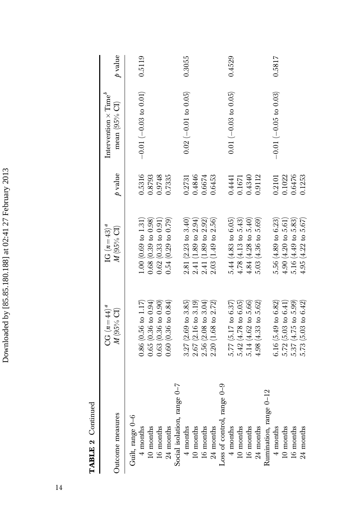| ţ<br>۱             |
|--------------------|
| Í                  |
|                    |
| ֠                  |
| ١<br>i             |
| ŗ                  |
| İ<br>d<br>ı        |
| ׇ֚֕֡               |
|                    |
| l                  |
|                    |
|                    |
|                    |
| ١                  |
| ֚֓<br>֕            |
|                    |
| j                  |
| ֕                  |
| י                  |
|                    |
| l<br>١             |
| ¢<br>١             |
|                    |
| ֧֚֝<br>֧֝֝֝׆<br>֧֪ |
| ۱<br>Ĺ             |
|                    |
|                    |
| )                  |
|                    |
| Ì                  |
|                    |
|                    |
|                    |
|                    |
|                    |
| I<br>١             |
| ĺ<br>١             |
|                    |

| ς      |  |
|--------|--|
| ŗ<br>i |  |

| Outcome measures            | $CG (n=44)^d$<br>M (95% CI)                                    | IG $(n=43)^{a}$<br>M (95% CI)                       | $\rho$ value     | Intervention $\times$ Time'<br>mean (95% CI) | $\rho$ value |
|-----------------------------|----------------------------------------------------------------|-----------------------------------------------------|------------------|----------------------------------------------|--------------|
| Guilt, range 0-6            |                                                                |                                                     |                  |                                              |              |
| 10 months<br>$4$ months     | 0.65(0.36 to 0.94)<br>0.86~(0.56~to~1.17)                      | 0.68(0.39 to 0.98)<br>$1.00(0.69 \text{ to } 1.31)$ | 0.5316<br>0.8793 | $-0.01(-0.03 to 0.01)$                       | 0.5119       |
| 16 months                   | 0.63(0.36 to 0.90)                                             | 0.62(0.33 to 0.91)                                  | 0.9748           |                                              |              |
| 24 months                   | $0.60$ (0.36 to $0.84$ )                                       | 0.54(0.29 to 0.79)                                  | 0.7335           |                                              |              |
| Social isolation, range 0-7 |                                                                |                                                     |                  |                                              |              |
| $4$ months                  | $3.27(2.69 \text{ to } 3.85)$                                  | 2.81(2.23 to 3.40)                                  | 0.2731           | $0.02 (-0.01 to 0.05)$                       | 0.3055       |
| 10 months                   | $2.67$ (2.16 to 3.19)                                          | $2.41(1.89 \text{ to } 2.94)$                       | 0.4846           |                                              |              |
| 16 months                   | $2.56(2.08 \text{ to } 3.04)$                                  | 2.41 (1.89 to 2.92)                                 | 0.6674           |                                              |              |
| 24 months                   | $(1.68 \text{ to } 2.72)$<br>2.20(                             | $2.03$ (1.49 to $2.56$ )                            | 0.6453           |                                              |              |
| Loss of control, range 0-9  |                                                                |                                                     |                  |                                              |              |
| $4$ months                  | 5.77 $(5.17 \text{ to } 6.37)$                                 | 5.44(4.83 to 6.05)                                  | 0.4441           | $0.01 (-0.03 to 0.05)$                       | 0.4529       |
| 10 months                   | $5.42(4.78 \text{ to } 6.05)$<br>$5.14(4.62 \text{ to } 5.66)$ | $4.78(4.13 \text{ to } 5.43)$                       | 0.1671           |                                              |              |
| 16 months                   |                                                                | $4.84(4.28 \text{ to } 5.40)$                       | 0.4340           |                                              |              |
| 24 months                   | 4.98 $(4.33 \text{ to } 5.62)$                                 | $5.03(4.36 \text{ to } 5.69)$                       | 0.9112           |                                              |              |
| Rumination, range 0-12      |                                                                |                                                     |                  |                                              |              |
| $4$ months                  | 6.16 $(5.49 \text{ to } 6.82)$                                 | $5.56(4.89 \text{ to } 6.23)$                       | 0.2101           | $-0.01 (-0.05 to 0.03)$                      | 0.5817       |
| 10 months                   | $5.72$ $(5.03 \text{ to } 6.41)$                               | 4.90(4.20 to 5.61)                                  | 0.1022           |                                              |              |
| 16 months                   | 5.37 (4.75 to 5.99)                                            | 5.16 (4.49 to 5.83)                                 | 0.6476           |                                              |              |
| 24 months                   | 5.73 $(5.03 \text{ to } 6.42)$                                 | 4.95(4.22 to 5.67)                                  | 0.1253           |                                              |              |
|                             |                                                                |                                                     |                  |                                              |              |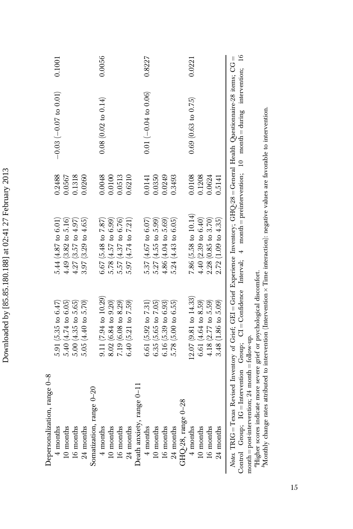| $-0.03$ $(-0.07$ to $0.01)$<br>$0.01 (-0.04 to 0.06)$<br>$0.08$ (0.02 to 0.14)<br>$0.69$ $(0.63$ to $0.75)$<br>0.2488<br>0.1318<br>0.0048<br>0.6210<br>0.0249<br>0.3493<br>0.0108<br>0.0567<br>0.0260<br>0.0100<br>0.0513<br>0.1208<br>0.0624<br>0.0141<br>0.0350<br>0.5141<br>7.86 $(5.58 \text{ to } 10.14)$<br>$4.40(2.39 \text{ to } 6.40)$<br>2.72(1.09 to 4.35)<br>5.57 (4.37 to 6.76)<br>5.24(4.43 to 6.05)<br>$2.28$ (0.85 to 3.70)<br>$5.44(4.87 \text{ to } 6.01)$<br>$4.49$ $(3.82 \text{ to } 5.16)$<br>5.78(4.57 to 6.99)<br>$5.27(4.55 \text{ to } 5.99)$<br>$4.86(4.04 \text{ to } 5.69)$<br>$3.97(3.29 \text{ to } 4.65)$<br>5.37(4.67 to 6.07)<br>4.27 (3.57 to 4.97)<br>6.67 $(5.48 \text{ to } 7.87)$<br>5.97 (4.74 to 7.21)<br>$9.11(7.94 \text{ to } 10.29)$<br>$(2.07)(9.81$ to $14.33)$<br>3.48 (1.86 to 5.09)<br>8.02 (6.84 to 9.20)<br>5.05 $(4.40 \text{ to } 5.70)$<br>6.40 $(5.21 \text{ to } 7.59)$<br>$5.78$ (5.00 to 6.55)<br>6.61 $(4.64 \text{ to } 8.59)$<br>4.18 $(2.77 \text{ to } 5.59)$<br>$5.40(4.74 \text{ to } 6.05)$<br>$5.00$ $(4.35$ to $5.65)$<br>7.19 (6.08 to 8.29)<br>6.35 $(5.65 \text{ to } 7.05)$<br>6.16 $(5.39 \text{ to } 6.93)$<br>5.91 $(5.35 \text{ to } 6.47)$<br>6.61 $(5.92 \text{ to } 7.31)$<br>Death anxiety, range 0-11<br>Somatization, range 0-20<br>GHQ-28, range $0-28$<br>16 months<br>16 months<br>10 months<br>$24$ months<br>10 months<br>16 months<br>24 months<br>10 months<br>$24$ months<br>4 months<br>10 months<br>24 months<br>4 months<br>16 months<br>$4$ months<br>$4$ months | Depersonalization, range 0-8 |  |  |        |
|-----------------------------------------------------------------------------------------------------------------------------------------------------------------------------------------------------------------------------------------------------------------------------------------------------------------------------------------------------------------------------------------------------------------------------------------------------------------------------------------------------------------------------------------------------------------------------------------------------------------------------------------------------------------------------------------------------------------------------------------------------------------------------------------------------------------------------------------------------------------------------------------------------------------------------------------------------------------------------------------------------------------------------------------------------------------------------------------------------------------------------------------------------------------------------------------------------------------------------------------------------------------------------------------------------------------------------------------------------------------------------------------------------------------------------------------------------------------------------------------------------------------------------------------------------------------|------------------------------|--|--|--------|
|                                                                                                                                                                                                                                                                                                                                                                                                                                                                                                                                                                                                                                                                                                                                                                                                                                                                                                                                                                                                                                                                                                                                                                                                                                                                                                                                                                                                                                                                                                                                                                 |                              |  |  | 0.1001 |
|                                                                                                                                                                                                                                                                                                                                                                                                                                                                                                                                                                                                                                                                                                                                                                                                                                                                                                                                                                                                                                                                                                                                                                                                                                                                                                                                                                                                                                                                                                                                                                 |                              |  |  |        |
|                                                                                                                                                                                                                                                                                                                                                                                                                                                                                                                                                                                                                                                                                                                                                                                                                                                                                                                                                                                                                                                                                                                                                                                                                                                                                                                                                                                                                                                                                                                                                                 |                              |  |  |        |
|                                                                                                                                                                                                                                                                                                                                                                                                                                                                                                                                                                                                                                                                                                                                                                                                                                                                                                                                                                                                                                                                                                                                                                                                                                                                                                                                                                                                                                                                                                                                                                 |                              |  |  |        |
|                                                                                                                                                                                                                                                                                                                                                                                                                                                                                                                                                                                                                                                                                                                                                                                                                                                                                                                                                                                                                                                                                                                                                                                                                                                                                                                                                                                                                                                                                                                                                                 |                              |  |  |        |
|                                                                                                                                                                                                                                                                                                                                                                                                                                                                                                                                                                                                                                                                                                                                                                                                                                                                                                                                                                                                                                                                                                                                                                                                                                                                                                                                                                                                                                                                                                                                                                 |                              |  |  | 0.0056 |
|                                                                                                                                                                                                                                                                                                                                                                                                                                                                                                                                                                                                                                                                                                                                                                                                                                                                                                                                                                                                                                                                                                                                                                                                                                                                                                                                                                                                                                                                                                                                                                 |                              |  |  |        |
|                                                                                                                                                                                                                                                                                                                                                                                                                                                                                                                                                                                                                                                                                                                                                                                                                                                                                                                                                                                                                                                                                                                                                                                                                                                                                                                                                                                                                                                                                                                                                                 |                              |  |  |        |
|                                                                                                                                                                                                                                                                                                                                                                                                                                                                                                                                                                                                                                                                                                                                                                                                                                                                                                                                                                                                                                                                                                                                                                                                                                                                                                                                                                                                                                                                                                                                                                 |                              |  |  |        |
|                                                                                                                                                                                                                                                                                                                                                                                                                                                                                                                                                                                                                                                                                                                                                                                                                                                                                                                                                                                                                                                                                                                                                                                                                                                                                                                                                                                                                                                                                                                                                                 |                              |  |  |        |
|                                                                                                                                                                                                                                                                                                                                                                                                                                                                                                                                                                                                                                                                                                                                                                                                                                                                                                                                                                                                                                                                                                                                                                                                                                                                                                                                                                                                                                                                                                                                                                 |                              |  |  | 0.8227 |
|                                                                                                                                                                                                                                                                                                                                                                                                                                                                                                                                                                                                                                                                                                                                                                                                                                                                                                                                                                                                                                                                                                                                                                                                                                                                                                                                                                                                                                                                                                                                                                 |                              |  |  |        |
|                                                                                                                                                                                                                                                                                                                                                                                                                                                                                                                                                                                                                                                                                                                                                                                                                                                                                                                                                                                                                                                                                                                                                                                                                                                                                                                                                                                                                                                                                                                                                                 |                              |  |  |        |
|                                                                                                                                                                                                                                                                                                                                                                                                                                                                                                                                                                                                                                                                                                                                                                                                                                                                                                                                                                                                                                                                                                                                                                                                                                                                                                                                                                                                                                                                                                                                                                 |                              |  |  |        |
|                                                                                                                                                                                                                                                                                                                                                                                                                                                                                                                                                                                                                                                                                                                                                                                                                                                                                                                                                                                                                                                                                                                                                                                                                                                                                                                                                                                                                                                                                                                                                                 |                              |  |  |        |
|                                                                                                                                                                                                                                                                                                                                                                                                                                                                                                                                                                                                                                                                                                                                                                                                                                                                                                                                                                                                                                                                                                                                                                                                                                                                                                                                                                                                                                                                                                                                                                 |                              |  |  | 0.0221 |
|                                                                                                                                                                                                                                                                                                                                                                                                                                                                                                                                                                                                                                                                                                                                                                                                                                                                                                                                                                                                                                                                                                                                                                                                                                                                                                                                                                                                                                                                                                                                                                 |                              |  |  |        |
|                                                                                                                                                                                                                                                                                                                                                                                                                                                                                                                                                                                                                                                                                                                                                                                                                                                                                                                                                                                                                                                                                                                                                                                                                                                                                                                                                                                                                                                                                                                                                                 |                              |  |  |        |
|                                                                                                                                                                                                                                                                                                                                                                                                                                                                                                                                                                                                                                                                                                                                                                                                                                                                                                                                                                                                                                                                                                                                                                                                                                                                                                                                                                                                                                                                                                                                                                 |                              |  |  |        |
|                                                                                                                                                                                                                                                                                                                                                                                                                                                                                                                                                                                                                                                                                                                                                                                                                                                                                                                                                                                                                                                                                                                                                                                                                                                                                                                                                                                                                                                                                                                                                                 |                              |  |  |        |
|                                                                                                                                                                                                                                                                                                                                                                                                                                                                                                                                                                                                                                                                                                                                                                                                                                                                                                                                                                                                                                                                                                                                                                                                                                                                                                                                                                                                                                                                                                                                                                 |                              |  |  |        |
| "Monthly change rates attributed to intervention (Intervention $\times$ Time interaction): negative values are favorable to intervention.<br>"Higher scores indicate more severe grief or psychological discomfort.<br>$month = post-intervention; 24 month = follow-up.$                                                                                                                                                                                                                                                                                                                                                                                                                                                                                                                                                                                                                                                                                                                                                                                                                                                                                                                                                                                                                                                                                                                                                                                                                                                                                       |                              |  |  |        |
|                                                                                                                                                                                                                                                                                                                                                                                                                                                                                                                                                                                                                                                                                                                                                                                                                                                                                                                                                                                                                                                                                                                                                                                                                                                                                                                                                                                                                                                                                                                                                                 |                              |  |  |        |
|                                                                                                                                                                                                                                                                                                                                                                                                                                                                                                                                                                                                                                                                                                                                                                                                                                                                                                                                                                                                                                                                                                                                                                                                                                                                                                                                                                                                                                                                                                                                                                 |                              |  |  |        |
|                                                                                                                                                                                                                                                                                                                                                                                                                                                                                                                                                                                                                                                                                                                                                                                                                                                                                                                                                                                                                                                                                                                                                                                                                                                                                                                                                                                                                                                                                                                                                                 |                              |  |  |        |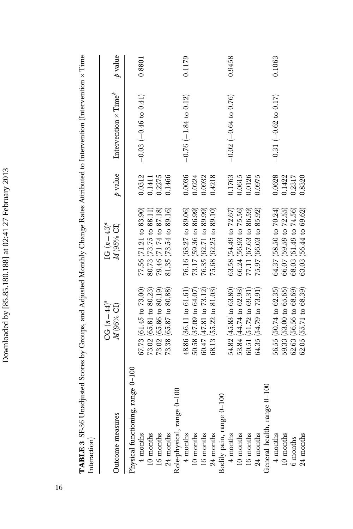| Interaction)                      |                                         |                                          |           |                                 |           |
|-----------------------------------|-----------------------------------------|------------------------------------------|-----------|---------------------------------|-----------|
| Outcome measures                  | $CG (n = 44)^a$<br>$M(95\% \text{ CI})$ | IG $(n=43)^a$<br>$M(95\% \ \mathrm{CI})$ | $p$ value | Intervention $\times$ Time $^b$ | $p$ value |
| Physical functioning, range 0-100 |                                         |                                          |           |                                 |           |
| $4$ months                        | 67.73(61.45 to 73.00)                   | 77.56 (71.21 to 83.90)                   | 0.0312    | $-0.03$ $(-0.46$ to $0.41)$     | 0.8801    |
| $10$ months                       | 73.02 (65.81 to 80.23)                  | 80.73 (73.75 to 88.11)                   | 0.1411    |                                 |           |
| 16 months                         | 73.02 (65.86 to 80.19)                  | 79.46 (71.74 to 87.18)                   | 0.2275    |                                 |           |
| 24 months                         | $73.38$ (65.87 to 80.88)                | 81.35 (73.54 to 89.16)                   | 0.1466    |                                 |           |
| Role-physical, range 0-100        |                                         |                                          |           |                                 |           |
| $4$ months                        | 48.86 (36.11 to 61.61)                  | 76.16 (63.27 to 89.06)                   | 0.0036    | $-0.76(-1.84 \text{ to } 0.12)$ | 0.1179    |
| $10$ months                       | 50.58 (37.09 to 64.07)                  | 73.17 (59.36 to 86.99)                   | 0.0224    |                                 |           |
| 16 months                         | 60.47 (47.81 to 73.12)                  | 76.35 (62.71 to 89.99)                   | 0.0932    |                                 |           |
| $24$ months                       | $68.13$ $(55.22$ to $81.03)$            | 75.68 (62.25 to 89.10)                   | 0.4218    |                                 |           |
| Bodily pain, range 0-100          |                                         |                                          |           |                                 |           |
| 4 months                          | 54.82 (45.83 to 63.80)                  | $63.58$ $(54.49$ to $72.67)$             | 0.1763    | $-0.02$ $(-0.64$ to 0.76)       | 0.9458    |
| 10 months                         | 53.84 (44.74 to 62.93)                  | 66.24 (56.93 to 75.56)                   | 0.0615    |                                 |           |
| 16 months                         | 60.51 (51.72 to 69.31                   | 77.11 (67.63 to 86.59)                   | 0.0126    |                                 |           |
| 24 months                         | 64.35 (54.79 to 73.91)                  | 75.97 (66.03 to 85.92)                   | 0.0975    |                                 |           |
| General health, range 0-100       |                                         |                                          |           |                                 |           |
| $4$ months                        | 56.55 (50.74 to 62.35)                  | $64.37$ (58.50 to 70.24)                 | 0.0628    | $-0.31(-0.62$ to 0.17)          | 0.1063    |
| $10$ months                       | 59.33 (53.00 to 65.65)                  | $66.07$ (59.59 to $72.55$ )              | 0.1422    |                                 |           |
| 6 months                          | $62.63$ (56.56 to 68.69)                | 68.03 (61.49 to 74.56)                   | 0.2317    |                                 |           |
| 24 months                         | $62.05$ (55.71 to $68.39$ )             | $63.03$ $(56.44 \text{ to } 69.62)$      | 0.8320    |                                 |           |

**TABLE 3** SF-36 Unadjusted Scores by Groups, and Adjusted Monthly Change Rates Attributed to Intervention (Intervention × Time **TABLE 3** SF-36 Unadjusted Scores by Groups, and Adjusted Monthly Change Rates Attributed to Intervention (Intervention  $\times$  Time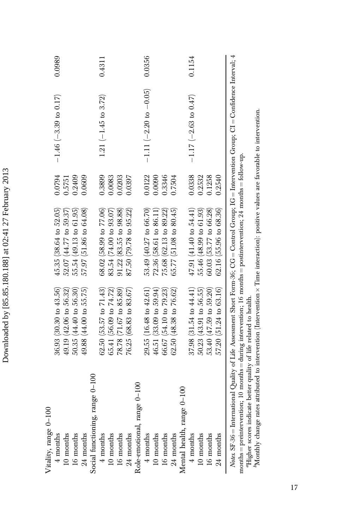| Vitality, range 0-100                                                                                                                                                                                                                                                     |                                     |                                  |        |                                 |        |
|---------------------------------------------------------------------------------------------------------------------------------------------------------------------------------------------------------------------------------------------------------------------------|-------------------------------------|----------------------------------|--------|---------------------------------|--------|
| $4$ months                                                                                                                                                                                                                                                                | 36.93 (30.30 to 43.56)              | $45.35(38.64 \text{ to } 52.05)$ | 0.0794 | $-1.46$ (-3.39 to 0.17)         | 0.0989 |
| 10 months                                                                                                                                                                                                                                                                 | $49.19(42.06 \text{ to } 56.32)$    | $52.07(44.77 \text{ to } 59.37)$ | 0.5751 |                                 |        |
| 16 months                                                                                                                                                                                                                                                                 | 50.35 (44.40 to 56.30)              | 55.54 (49.13 to 61.95)           | 0.2409 |                                 |        |
| 24 months                                                                                                                                                                                                                                                                 | 49.88 (44.00 to 55.75)              | $57.97(51.86 \text{ to } 64.08)$ | 0.0609 |                                 |        |
| Social functioning, range 0-100                                                                                                                                                                                                                                           |                                     |                                  |        |                                 |        |
| $4$ months                                                                                                                                                                                                                                                                | $62.50$ (53.57 to $71.43$ )         | $68.02$ (58.99 to 77.06)         | 0.3899 | 1.21 $(-1.45$ to 3.72)          | 0.4311 |
| 10 months                                                                                                                                                                                                                                                                 | 65.41 (56.09 to 74.72)              | 83.54 (74.00 to 93.07)           | 0.0083 |                                 |        |
| 16 months                                                                                                                                                                                                                                                                 | 78.78 (71.67 to 85.89)              | $91.22$ (83.55 to $98.88$ )      | 0.0203 |                                 |        |
| 24 months                                                                                                                                                                                                                                                                 | 76.25(68.83 to 83.67)               | 87.50 (79.78 to 95.22)           | 0.0397 |                                 |        |
| Role-emotional, range 0-100                                                                                                                                                                                                                                               |                                     |                                  |        |                                 |        |
| 4 months                                                                                                                                                                                                                                                                  | $29.55(16.48 \text{ to } 42.61)$    | 53.49 (40.27 to 66.70)           | 0.0122 | $-1.11 (-2.20 to -0.05)$        | 0.0356 |
| 10 months                                                                                                                                                                                                                                                                 | $46.51(33.09 \text{ to } 59.94)$    | 72.36 (58.61 to 86.11)           | 0.0090 |                                 |        |
| 16 months                                                                                                                                                                                                                                                                 | 66.67 (54.10 to 79.23)              | 75.68 (62.13 to 89.22)           | 0.3346 |                                 |        |
| 24 months                                                                                                                                                                                                                                                                 | $62.50(48.38 \text{ to } 76.62)$    | $65.77(51.08 \text{ to } 80.45)$ | 0.7504 |                                 |        |
| Mental health, range 0-100                                                                                                                                                                                                                                                |                                     |                                  |        |                                 |        |
| $4$ months                                                                                                                                                                                                                                                                | $37.98$ $(31.54 \text{ to } 44.41)$ | $47.91(41.40 \text{ to } 54.41)$ | 0.0338 | $-1.17(-2.63 \text{ to } 0.47)$ | 0.1154 |
| 10 months                                                                                                                                                                                                                                                                 | $50.23(43.91 \text{ to } 56.55)$    | 55.46 (48.99 to 61.93)           | 0.2532 |                                 |        |
| 16 months                                                                                                                                                                                                                                                                 | $53.40(47.59 \text{ to } 59.20)$    | $60.03$ (53.77 to $66.28$ )      | 0.1258 |                                 |        |
| 24 months                                                                                                                                                                                                                                                                 | $57.20(51.24 \text{ to } 63.16)$    | $62.16$ (55.96 to $68.36$ )      | 0.2540 |                                 |        |
| <i>Notes</i> , SF-36 = International Quality of Life Assessment Short Form-36; CG = Control Group; IG = Intervention Group; CI = Confidence Interval; 4<br>months = preintervention; 10 months = during intervention; 16 months = postintervention; 24 months = follow-up |                                     |                                  |        |                                 |        |

лошав = риешкетсенцол, то плошав = ещину инетиченол, то илонна = ровшкетскиол, 24 илоннав = лоноw-чр.<br>"Higher scores indicate better quality of life related to health.<br>"Monthly change rates attributed to intervention (In bMonthly change rates attributed to intervention (Intervention Time interaction): positive values are favorable to intervention. aHigher scores indicate better quality of life related to health.

Downloaded by [85.85.180.188] at 02:41 27 February 2013 Downloaded by [85.85.180.188] at 02:41 27 February 2013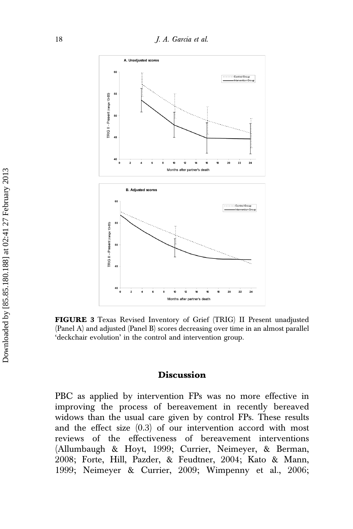

FIGURE 3 Texas Revised Inventory of Grief (TRIG) II Present unadjusted (Panel A) and adjusted (Panel B) scores decreasing over time in an almost parallel 'deckchair evolution' in the control and intervention group.

### Discussion

PBC as applied by intervention FPs was no more effective in improving the process of bereavement in recently bereaved widows than the usual care given by control FPs. These results and the effect size (0.3) of our intervention accord with most reviews of the effectiveness of bereavement interventions (Allumbaugh & Hoyt, 1999; Currier, Neimeyer, & Berman, 2008; Forte, Hill, Pazder, & Feudtner, 2004; Kato & Mann, 1999; Neimeyer & Currier, 2009; Wimpenny et al., 2006;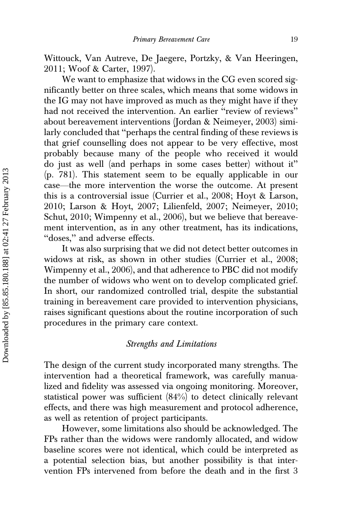Wittouck, Van Autreve, De Jaegere, Portzky, & Van Heeringen, 2011; Woof & Carter, 1997).

We want to emphasize that widows in the CG even scored significantly better on three scales, which means that some widows in the IG may not have improved as much as they might have if they had not received the intervention. An earlier ''review of reviews'' about bereavement interventions (Jordan & Neimeyer, 2003) similarly concluded that ''perhaps the central finding of these reviews is that grief counselling does not appear to be very effective, most probably because many of the people who received it would do just as well (and perhaps in some cases better) without it'' (p. 781). This statement seem to be equally applicable in our case—the more intervention the worse the outcome. At present this is a controversial issue (Currier et al., 2008; Hoyt & Larson, 2010; Larson & Hoyt, 2007; Lilienfeld, 2007; Neimeyer, 2010; Schut, 2010; Wimpenny et al., 2006), but we believe that bereavement intervention, as in any other treatment, has its indications, ''doses,'' and adverse effects.

It was also surprising that we did not detect better outcomes in widows at risk, as shown in other studies (Currier et al., 2008; Wimpenny et al., 2006), and that adherence to PBC did not modify the number of widows who went on to develop complicated grief. In short, our randomized controlled trial, despite the substantial training in bereavement care provided to intervention physicians, raises significant questions about the routine incorporation of such procedures in the primary care context.

#### Strengths and Limitations

The design of the current study incorporated many strengths. The intervention had a theoretical framework, was carefully manualized and fidelity was assessed via ongoing monitoring. Moreover, statistical power was sufficient  $(84%)$  to detect clinically relevant effects, and there was high measurement and protocol adherence, as well as retention of project participants.

However, some limitations also should be acknowledged. The FPs rather than the widows were randomly allocated, and widow baseline scores were not identical, which could be interpreted as a potential selection bias, but another possibility is that intervention FPs intervened from before the death and in the first 3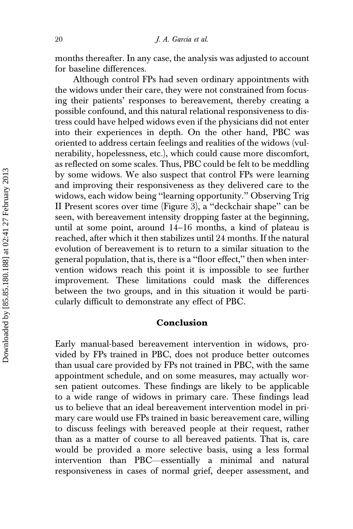months thereafter. In any case, the analysis was adjusted to account for baseline differences.

Although control FPs had seven ordinary appointments with the widows under their care, they were not constrained from focusing their patients' responses to bereavement, thereby creating a possible confound, and this natural relational responsiveness to distress could have helped widows even if the physicians did not enter into their experiences in depth. On the other hand, PBC was oriented to address certain feelings and realities of the widows (vulnerability, hopelessness, etc.), which could cause more discomfort, as reflected on some scales. Thus, PBC could be felt to be meddling by some widows. We also suspect that control FPs were learning and improving their responsiveness as they delivered care to the widows, each widow being ''learning opportunity.'' Observing Trig II Present scores over time (Figure 3), a ''deckchair shape'' can be seen, with bereavement intensity dropping faster at the beginning, until at some point, around 14–16 months, a kind of plateau is reached, after which it then stabilizes until 24 months. If the natural evolution of bereavement is to return to a similar situation to the general population, that is, there is a ''floor effect,'' then when intervention widows reach this point it is impossible to see further improvement. These limitations could mask the differences between the two groups, and in this situation it would be particularly difficult to demonstrate any effect of PBC.

# Conclusion

Early manual-based bereavement intervention in widows, provided by FPs trained in PBC, does not produce better outcomes than usual care provided by FPs not trained in PBC, with the same appointment schedule, and on some measures, may actually worsen patient outcomes. These findings are likely to be applicable to a wide range of widows in primary care. These findings lead us to believe that an ideal bereavement intervention model in primary care would use FPs trained in basic bereavement care, willing to discuss feelings with bereaved people at their request, rather than as a matter of course to all bereaved patients. That is, care would be provided a more selective basis, using a less formal intervention than PBC—essentially a minimal and natural responsiveness in cases of normal grief, deeper assessment, and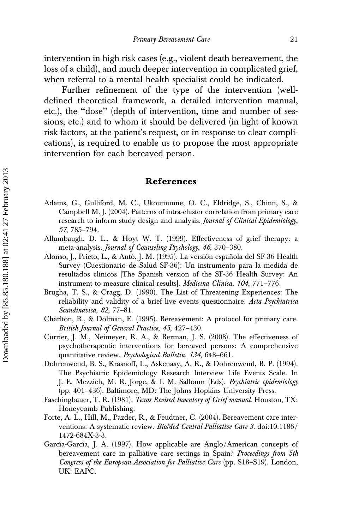intervention in high risk cases (e.g., violent death bereavement, the loss of a child), and much deeper intervention in complicated grief, when referral to a mental health specialist could be indicated.

Further refinement of the type of the intervention (welldefined theoretical framework, a detailed intervention manual, etc.), the ''dose'' (depth of intervention, time and number of sessions, etc.) and to whom it should be delivered (in light of known risk factors, at the patient's request, or in response to clear complications), is required to enable us to propose the most appropriate intervention for each bereaved person.

#### References

- Adams, G., Gulliford, M. C., Ukoumunne, O. C., Eldridge, S., Chinn, S., & Campbell M. J. (2004). Patterns of intra-cluster correlation from primary care research to inform study design and analysis. Journal of Clinical Epidemiology, 57, 785–794.
- Allumbaugh, D. L., & Hoyt W. T. (1999). Effectiveness of grief therapy: a meta-analysis. Journal of Counseling Psychology, 46, 370–380.
- Alonso, J., Prieto, L., & Antó, J. M. (1995). La versión española del SF-36 Health Survey (Cuestionario de Salud SF-36): Un instrumento para la medida de resultados clínicos [The Spanish version of the SF-36 Health Survey: An instrument to measure clinical results. *Medicina Clínica*, 104, 771–776.
- Brugha, T. S., & Cragg, D. (1990). The List of Threatening Experiences: The reliability and validity of a brief live events questionnaire. Acta Psychiatrica Scandinavica, 82, 77–81.
- Charlton, R., & Dolman, E. (1995). Bereavement: A protocol for primary care. British Journal of General Practice, 45, 427–430.
- Currier, J. M., Neimeyer, R. A., & Berman, J. S. (2008). The effectiveness of psychotherapeutic interventions for bereaved persons: A comprehensive quantitative review. Psychological Bulletin, 134, 648–661.
- Dohrenwend, B. S., Krasnoff, L., Askenasy, A. R., & Dohrenwend, B. P. (1994). The Psychiatric Epidemiology Research Interview Life Events Scale. In J. E. Mezzich, M. R. Jorge, & I. M. Salloum (Eds). Psychiatric epidemiology (pp. 401–436). Baltimore, MD: The Johns Hopkins University Press.
- Faschingbauer, T. R. (1981). Texas Revised Inventory of Grief manual. Houston, TX: Honeycomb Publishing.
- Forte, A. L., Hill, M., Pazder, R., & Feudtner, C. (2004). Bereavement care interventions: A systematic review. *BioMed Central Palliative Care 3.* doi:10.1186/ 1472-684X-3-3.
- García-García, J. A. (1997). How applicable are Anglo/American concepts of bereavement care in palliative care settings in Spain? Proceedings from 5th Congress of the European Association for Palliative Care (pp. S18–S19). London, UK: EAPC.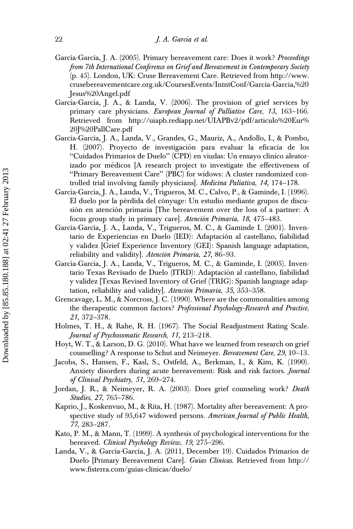- García-García, J. A. (2005). Primary bereavement care: Does it work? Proceedings from 7th International Conference on Grief and Bereavement in Contemporary Society (p. 45). London, UK: Cruse Bereavement Care. Retrieved from http://www. crusebereavementcare.org.uk/CoursesEvents/IntntConf/Garcia-Garcia,%20 Jesus%20Angel.pdf
- García-García, J. A., & Landa, V. (2006). The provision of grief services by primary care physicians. European Journal of Palliative Care, 13, 163-166. Retrieved from http://uiapb.rediapp.net/UIAPBv2/pdf/articulo%20Eur% 20J%20PallCare.pdf
- García-García, J. A., Landa, V., Grandes, G., Mauriz, A., Andollo, I., & Pombo, H. (2007). Proyecto de investigación para evaluar la eficacia de los "Cuidados Primarios de Duelo" (CPD) en viudas: Un ensayo clínico aleatorizado por médicos [A research project to investigate the effectiveness of ''Primary Bereavement Care'' (PBC) for widows: A cluster randomized controlled trial involving family physicians]. Medicina Paliativa, 14, 174–178.
- García-García, J. A., Landa, V., Trigueros, M. C., Calvo, P., & Gaminde, I. (1996). El duelo por la pérdida del cónyuge: Un estudio mediante grupos de discusión en atención primaria [The bereavement over the loss of a partner: A focus group study in primary care]. Atención Primaria, 18, 475-483.
- García-García, J. A., Landa, V., Trigueros, M. C., & Gaminde I. (2001). Inventario de Experiencias en Duelo (IED): Adaptación al castellano, fiabilidad y validez [Grief Experience Inventory (GEI): Spanish language adaptation, reliability and validity]. Atención Primaria, 27, 86–93.
- García-García, J. A., Landa, V., Trigueros, M. C., & Gaminde, I. (2005). Inventario Texas Revisado de Duelo (ITRD): Adaptación al castellano, fiabilidad y validez [Texas Revised Inventory of Grief (TRIG): Spanish language adaptation, reliability and validity]. Atención Primaria, 35, 353–358.
- Grencavage, L. M., & Norcross, J. C. (1990). Where are the commonalities among the therapeutic common factors? Professional Psychology-Research and Practice, 21, 372–378.
- Holmes, T. H., & Rahe, R. H. (1967). The Social Readjustment Rating Scale. Journal of Psychosomatic Research, 11, 213–218.
- Hoyt, W. T., & Larson, D. G. (2010). What have we learned from research on grief counselling? A response to Schut and Neimeyer. Bereavement Care, 29, 10–13.
- Jacobs, S., Hansen, F., Kasl, S., Ostfeld, A., Berkman, I., & Kim, K. (1990). Anxiety disorders during acute bereavement: Risk and risk factors. Journal of Clinical Psychiatry, 51, 269–274.
- Jordan, J. R., & Neimeyer, R. A. (2003). Does grief counseling work? Death Studies, 27, 765–786.
- Kaprio, J., Koskenvuo, M., & Rita, H. (1987). Mortality after bereavement: A prospective study of 95,647 widowed persons. American Journal of Public Health, 77, 283–287.
- Kato, P. M., & Mann, T. (1999). A synthesis of psychological interventions for the bereaved. Clinical Psychology Review, 19, 275–296.
- Landa, V., & García-García, J. A. (2011, December 19). Cuidados Primarios de Duelo [Primary Bereavement Care]. Guías Clínicas. Retrieved from http:// www.fisterra.com/guias-clinicas/duelo/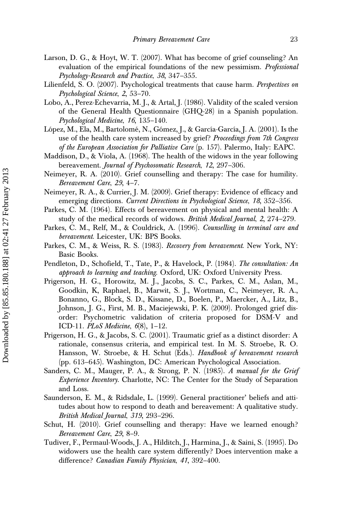- Larson, D. G., & Hoyt, W. T. (2007). What has become of grief counseling? An evaluation of the empirical foundations of the new pessimism. Professional Psychology-Research and Practice, 38, 347–355.
- Lilienfeld, S. O. (2007). Psychological treatments that cause harm. Perspectives on Psychological Science, 2, 53–70.
- Lobo, A., Perez-Echevarria, M. J., & Artal, J. (1986). Validity of the scaled version of the General Health Questionnaire (GHQ-28) in a Spanish population. Psychological Medicine, 16, 135–140.
- López, M., Ela, M., Bartolomé, N., Gómez, J., & García-García, J. A. (2001). Is the use of the health care system increased by grief? Proceedings from 7th Congress of the European Association for Palliative Care (p. 157). Palermo, Italy: EAPC.
- Maddison, D., & Viola, A. (1968). The health of the widows in the year following bereavement. Journal of Psychosomatic Research, 12, 297-306.
- Neimeyer, R. A. (2010). Grief counselling and therapy: The case for humility. Bereavement Care, 29, 4–7.
- Neimeyer, R. A., & Currier, J. M. (2009). Grief therapy: Evidence of efficacy and emerging directions. Current Directions in Psychological Science, 18, 352-356.
- Parkes, C. M. (1964). Effects of bereavement on physical and mental health: A study of the medical records of widows. British Medical Journal, 2, 274-279.
- Parkes, C. M., Relf, M., & Couldrick, A. (1996). Counselling in terminal care and bereavement. Leicester, UK: BPS Books.
- Parkes, C. M., & Weiss, R. S. (1983). Recovery from bereavement. New York, NY: Basic Books.
- Pendleton, D., Schofield, T., Tate, P., & Havelock, P. (1984). The consultation: An approach to learning and teaching. Oxford, UK: Oxford University Press.
- Prigerson, H. G., Horowitz, M. J., Jacobs, S. C., Parkes, C. M., Aslan, M., Goodkin, K, Raphael, B., Marwit, S. J., Wortman, C., Neimeyer, R. A., Bonanno, G., Block, S. D., Kissane, D., Boelen, P., Maercker, A., Litz, B., Johnson, J. G., First, M. B., Maciejewski, P. K. (2009). Prolonged grief disorder: Psychometric validation of criteria proposed for DSM-V and ICD-11. PLoS Medicine, 6(8), 1–12.
- Prigerson, H. G., & Jacobs, S. C. (2001). Traumatic grief as a distinct disorder: A rationale, consensus criteria, and empirical test. In M. S. Stroebe, R. O. Hansson, W. Stroebe, & H. Schut (Eds.). Handbook of bereavement research (pp. 613–645). Washington, DC: American Psychological Association.
- Sanders, C. M., Mauger, P. A., & Strong, P. N. (1985). A manual for the Grief Experience Inventory. Charlotte, NC: The Center for the Study of Separation and Loss.
- Saunderson, E. M., & Ridsdale, L. (1999). General practitioner' beliefs and attitudes about how to respond to death and bereavement: A qualitative study. British Medical Journal, 319, 293–296.
- Schut, H. (2010). Grief counselling and therapy: Have we learned enough? Bereavement Care, 29, 8–9.
- Tudiver, F., Permaul-Woods, J. A., Hilditch, J., Harmina, J., & Saini, S. (1995). Do widowers use the health care system differently? Does intervention make a difference? *Canadian Family Physician*, 41, 392-400.